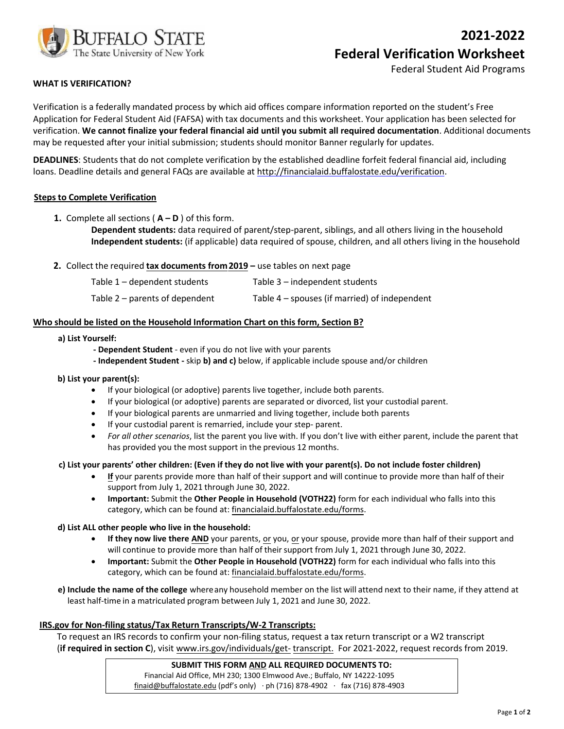

Federal Student Aid Programs

# **WHAT IS VERIFICATION?**

Verification is a federally mandated process by which aid offices compare information reported on the student's Free Application for Federal Student Aid (FAFSA) with tax documents and this worksheet. Your application has been selected for verification. **We cannot finalize your federal financial aid until you submit all required documentation**. Additional documents may be requested after your initial submission; students should monitor Banner regularly for updates.

**DEADLINES**: Students that do not complete verification by the established deadline forfeit federal financial aid, including loans. Deadline details and general FAQs are available at http://financialaid.buffalostate.edu/verification.

## **Steps to Complete Verification**

**1.** Complete all sections ( $A - D$ ) of this form.

**Dependent students:** data required of parent/step-parent, siblings, and all others living in the household **Independent students:** (if applicable) data required of spouse, children, and all others living in the household

**2.** Collect the required **tax documents from2019 –** use tables on next page

| Table 1 - dependent students   | Table 3 – independent students                  |
|--------------------------------|-------------------------------------------------|
| Table 2 – parents of dependent | Table $4$ – spouses (if married) of independent |

### **Who should be listed on the Household Information Chart on this form, Section B?**

#### **a) List Yourself:**

- **Dependent Student**  even if you do not live with your parents
- **Independent Student** skip **b) and c)** below, if applicable include spouse and/or children
- **b) List your parent(s):**
	- If your biological (or adoptive) parents live together, include both parents.
	- If your biological (or adoptive) parents are separated or divorced, list your custodial parent.
	- If your biological parents are unmarried and living together, include both parents
	- If your custodial parent is remarried, include your step- parent.
	- *For all other scenarios*, list the parent you live with. If you don't live with either parent, include the parent that has provided you the most support in the previous 12 months.

#### **c) List your parents' other children: (Even if they do not live with your parent(s). Do not include foster children)**

- **If** your parents provide more than half of their support and will continue to provide more than half of their support from July 1, 2021 through June 30, 2022.
- **Important:** Submit the **Other People in Household (VOTH22)** form for each individual who falls into this category, which can be found at: financialaid.buffalostate.edu/forms.

## **d) List ALL other people who live in the household:**

- **If they now live there AND** your parents, or you, or your spouse, provide more than half of their support and will continue to provide more than half of their support from July 1, 2021 through June 30, 2022.
- **Important:** Submit the **Other People in Household (VOTH22)** form for each individual who falls into this category, which can be found at: financialaid.buffalostate.edu/forms.
- **e) Include the name of the college** where any household member on the list will attend next to their name, if they attend at least half-time in a matriculated program between July 1, 2021 and June 30, 2022.

## **IRS.gov for Non-filing status/Tax Return Transcripts/W-2 Transcripts:**

To request an IRS records to confirm your non-filing status, request a tax return transcript or a W2 transcript (**if required in section C**), visit www.irs.gov/individuals/get- transcript. For 2021-2022, request records from 2019.

### **SUBMIT THIS FORM AND ALL REQUIRED DOCUMENTS TO:**

Financial Aid Office, MH 230; 1300 Elmwood Ave.; Buffalo, NY 14222-1095 finaid@buffalostate.edu (pdf's only) · ph (716) 878-4902 · fax (716) 878-4903